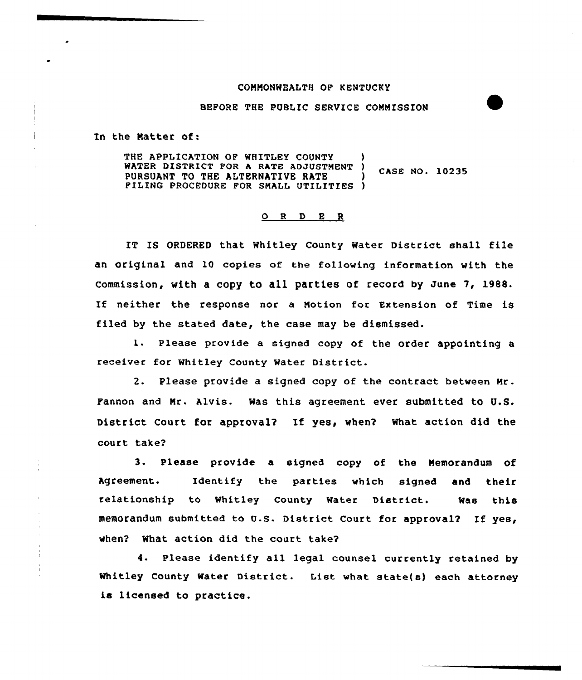## CONNONWEALTH OF KENTUCKY

BEFORE THE PUBLIC SERVICE COMMISSION

In the Natter of:

THE APPLICATION OF WHITLEY COUNTY WATER DISTRICT FOR A RATE ADJUSTMENT ) CASE NO. 10235 PURSUANT TO THE ALTERNATIVE RATE FILING PROCEDURE FOR SMALL UTILITIES )

## 0 <sup>R</sup> <sup>D</sup> E R

IT IS ORDERED that Whitley County Water District shall file an original and 10 copies of the following information with the commission, with a copy to all parties of record by June 7, 1988. If neither the response nor a Motion for Extension of Time is filed by the stated date, the case may be dismissed.

1. please provide <sup>a</sup> signed copy of the order appointing <sup>a</sup> receiver for Whitley County Water District.

2. Please provide a signed copy of the contract between Nr. Fannon and Mr. Alvis. Was this agreement ever submitted to U.S. District Court for approval? If yes, when? What action did the court take2

3. Please provide <sup>a</sup> signed copy of the Nemorandum of Agreement. Identify the parties which signed and their relationship to Whitley County Water District. Was this memorandum submitted to U.S. District Court for approval2 If yes, when2 What action did the court take2

4. Please identify all legal counsel currently retained by Whitley County Water District. List what state(e) each attorney is licensed to practice.